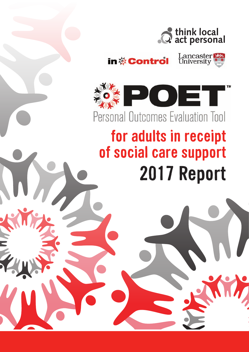





Personal Outcomes Evaluation Tool

# **for adults in receipt of social care support 2017 Report**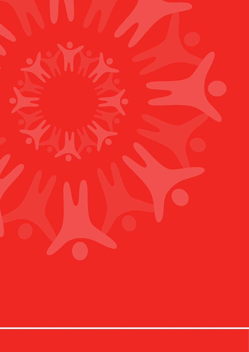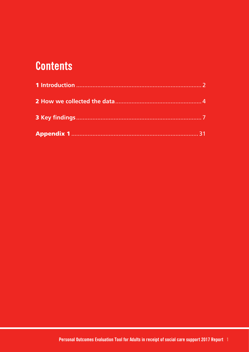## **Contents**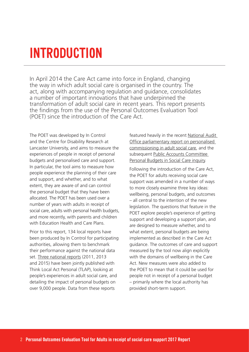# <span id="page-3-0"></span>**INTRODUCTION**

In April 2014 the Care Act came into force in England, changing the way in which adult social care is organised in the country. The act, along with accompanying regulation and guidance, consolidates a number of important innovations that have underpinned the transformation of adult social care in recent years. This report presents the findings from the use of the Personal Outcomes Evaluation Tool (POET) since the introduction of the Care Act.

The POET was developed by In Control and the Centre for Disability Research at Lancaster University, and aims to measure the experiences of people in receipt of personal budgets and personalised care and support. In particular, the tool aims to measure how people experience the planning of their care and support, and whether, and to what extent, they are aware of and can control the personal budget that they have been allocated. The POET has been used over a number of years with adults in receipt of social care, adults with personal health budgets, and more recently, with parents and children with Education Health and Care Plans.

Prior to this report, 134 local reports have been produced by In Control for participating authorities, allowing them to benchmark their performance against the national data s[et. Three national reports \(2011](http://www.in-control.org.uk/what-we-do/poet-%C2%A9-personal-outcomes-evaluation-tool.aspx), 2013 and 2015) have been jointly published with Think Local Act Personal (TLAP), looking at people's experiences in adult social care, and detailing the impact of personal budgets on over 9,000 people. Data from these reports

[featured heavily in the recent National Audit](https://www.nao.org.uk/report/personalised-commissioning-in-adult-social-care/)  Office parliamentary report on personalised commissioning in adult social care, and the [subsequent Public Accounts Committee](https://www.parliament.uk/business/committees/committees-a-z/commons-select/public-accounts-committee/inquiries/parliament-2015/personal-budgets-social-care-15-16/)  Personal Budgets in Social Care inquiry.

Following the introduction of the Care Act, the POET for adults receiving social care support was amended in a number of ways to more closely examine three key ideas: wellbeing, personal budgets, and outcomes – all central to the intention of the new legislation. The questions that feature in the POET explore people's experience of getting support and developing a support plan, and are designed to measure whether, and to what extent, personal budgets are being implemented as described in the Care Act guidance. The outcomes of care and support measured by the tool now align explicitly with the domains of wellbeing in the Care Act. New measures were also added to the POET to mean that it could be used for people not in receipt of a personal budget – primarily where the local authority has provided short-term support.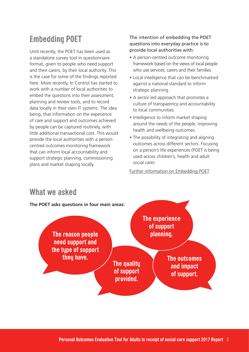## **Embedding POET**

Until recently, the POET has been used as a standalone survey tool in questionnaire format, given to people who need support and their carers, by their local authority. This is the case for some of the findings reported here. More recently, In Control has started to work with a number of local authorities to embed the questions into their assessment, planning and review tools, and to record data locally in their own IT systems. The idea being, that information on the experience of care and support and outcomes achieved by people can be captured routinely, with little additional transactional cost. This would provide the local authorities with a personcentred outcomes monitoring framework that can inform local accountability and support strategic planning, commissioning plans and market shaping locally.

#### The intention of embedding the POET questions into everyday practice is to provide local authorities with:

- A person-centred outcome monitoring framework based on the views of local people who use services, carers and their families.
- Local intelligence that can be benchmarked against a national standard to inform strategic planning.
- A sector led approach that promotes a culture of transparency and accountability to local communities.
- Intelligence to inform market shaping around the needs of the people, improving health and wellbeing outcomes.
- The possibility of integrating and aligning outcomes across different sectors. Focusing on a person's life experiences (POET is being used across children's, health and adult social care).

[Further information on Embedding POET.](mailto:poet@in-control.org.uk)



### **What we asked**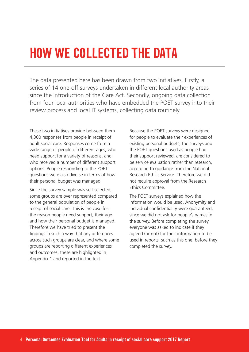## <span id="page-5-0"></span>**HOW WE COLLECTED THE DATA**

The data presented here has been drawn from two initiatives. Firstly, a series of 14 one-off surveys undertaken in different local authority areas since the introduction of the Care Act. Secondly, ongoing data collection from four local authorities who have embedded the POET survey into their review process and local IT systems, collecting data routinely.

These two initiatives provide between them 4,300 responses from people in receipt of adult social care. Responses come from a wide range of people of different ages, who need support for a variety of reasons, and who received a number of different support options. People responding to the POET questions were also diverse in terms of how their personal budget was managed.

Since the survey sample was self-selected, some groups are over represented compared to the general population of people in receipt of social care. This is the case for: the reason people need support, their age and how their personal budget is managed. Therefore we have tried to present the findings in such a way that any differences across such groups are clear, and where some groups are reporting different experiences and outcomes, these are highlighted in Appendix 1 and reported in the text.

Because the POET surveys were designed for people to evaluate their experiences of existing personal budgets, the surveys and the POET questions used as people had their support reviewed, are considered to be service evaluation rather than research, according to guidance from the National Research Ethics Service. Therefore we did not require approval from the Research Ethics Committee.

The POET surveys explained how the information would be used. Anonymity and individual confidentiality were guaranteed, since we did not ask for people's names in the survey. Before completing the survey, everyone was asked to indicate if they agreed (or not) for their information to be used in reports, such as this one, before they completed the survey.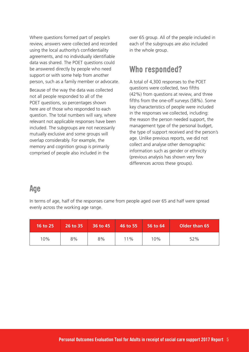Where questions formed part of people's review, answers were collected and recorded using the local authority's confidentiality agreements, and no individually identifiable data was shared. The POET questions could be answered directly by people who need support or with some help from another person, such as a family member or advocate.

Because of the way the data was collected not all people responded to all of the POET questions, so percentages shown here are of those who responded to each question. The total numbers will vary, where relevant not applicable responses have been included. The subgroups are not necessarily mutually exclusive and some groups will overlap considerably. For example, the memory and cognition group is primarily comprised of people also included in the

over 65 group. All of the people included in each of the subgroups are also included in the whole group.

#### **Who responded?**

A total of 4,300 responses to the POET questions were collected, two fifths (42%) from questions at review, and three fifths from the one-off surveys (58%). Some key characteristics of people were included in the responses we collected, including: the reason the person needed support, the management type of the personal budget, the type of support received and the person's age. Unlike previous reports, we did not collect and analyse other demographic information such as gender or ethnicity (previous analysis has shown very few differences across these groups).

#### **Age**

In terms of age, half of the responses came from people aged over 65 and half were spread evenly across the working age range.

| 16 to 25 | 26 to 35 | 36 to 45 | 46 to 55 | 56 to 64 | Older than 65 |
|----------|----------|----------|----------|----------|---------------|
| 10%      | 8%       | 8%       | 11%      | 10%      | 52%           |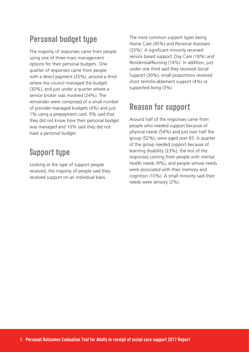## **Personal budget type**

The majority of responses came from people using one of three main management options for their personal budgets. One quarter of responses came from people with a direct payment (25%), around a third where the council managed the budget (30%), and just under a quarter where a service broker was involved (24%). The remainder were comprised of a small number of provider managed budgets (4%) and just 1% using a prepayment card: 9% said that they did not know how their personal budget was managed and 10% said they did not have a personal budget.

### **Support type**

Looking at the type of support people received, the majority of people said they received support on an individual basis.

The most common support types being Home Care (45%) and Personal Assistant (33%). A significant minority received service based support: Day Care (18%) and Residential/Nursing (14%). In addition, just under one third said they received Social Support (30%), small proportions received short term/re-ablement support (4%) or supported living (3%).

### **Reason for support**

Around half of the responses came from people who needed support because of physical needs (54%) and just over half the group (52%), were aged over 65. A quarter of the group needed support because of learning disability (23%), the rest of the responses coming from people with mental health needs (9%), and people whose needs were associated with their memory and cognition (10%). A small minority said their needs were sensory (2%).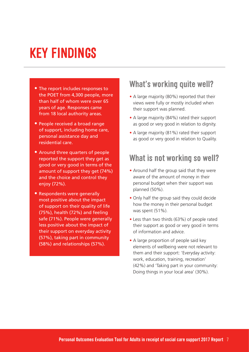# <span id="page-8-0"></span>**KEY FINDINGS**

- The report includes responses to the POET from 4,300 people, more than half of whom were over 65 years of age. Responses came from 18 local authority areas.
- People received a broad range of support, including home care, personal assistance day and residential care.
- Around three quarters of people reported the support they get as good or very good in terms of the amount of support they get (74%) and the choice and control they enjoy (72%).
- Respondents were generally most positive about the impact of support on their quality of life (75%), health (72%) and feeling safe (71%). People were generally less positive about the impact of their support on everyday activity (57%), taking part in community (58%) and relationships (57%).

### **What's working quite well?**

- A large majority (80%) reported that their views were fully or mostly included when their support was planned.
- A large majority (84%) rated their support as good or very good in relation to dignity.
- A large majority (81%) rated their support as good or very good in relation to Quality.

### **What is not working so well?**

- Around half the group said that they were aware of the amount of money in their personal budget when their support was planned (50%).
- Only half the group said they could decide how the money in their personal budget was spent (51%).
- Less than two thirds (63%) of people rated their support as good or very good in terms of information and advice.
- A large proportion of people said key elements of wellbeing were not relevant to them and their support: 'Everyday activity: work, education, training, recreation' (42%) and 'Taking part in your community: Doing things in your local area' (30%).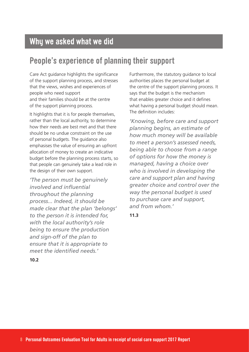### **Why we asked what we did**

### **People's experience of planning their support**

Care Act guidance highlights the significance of the support planning process, and stresses that the views, wishes and experiences of people who need support and their families should be at the centre of the support planning process.

It highlights that it is for people themselves, rather than the local authority, to determine how their needs are best met and that there should be no undue constraint on the use of personal budgets. The guidance also emphasises the value of ensuring an upfront allocation of money to create an indicative budget before the planning process starts, so that people can genuinely take a lead role in the design of their own support.

*'The person must be genuinely involved and influential throughout the planning process... Indeed, it should be made clear that the plan 'belongs' to the person it is intended for, with the local authority's role being to ensure the production and sign-off of the plan to ensure that it is appropriate to meet the identified needs.'* 

Furthermore, the statutory guidance to local authorities places the personal budget at the centre of the support planning process. It says that the budget is the mechanism that enables greater choice and it defines what having a personal budget should mean. The definition includes:

*'Knowing, before care and support planning begins, an estimate of how much money will be available to meet a person's assessed needs, being able to choose from a range of options for how the money is managed, having a choice over who is involved in developing the care and support plan and having greater choice and control over the way the personal budget is used to purchase care and support, and from whom.'* 

#### **11.3**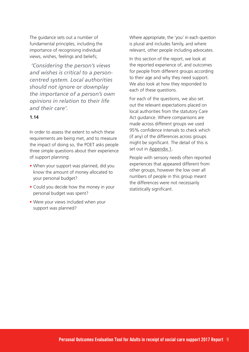The guidance sets out a number of fundamental principles, including the importance of recognising individual views, wishes, feelings and beliefs;

 *'Considering the person's views and wishes is critical to a personcentred system. Local authorities should not ignore or downplay the importance of a person's own opinions in relation to their life and their care'.*

#### **1.14**

In order to assess the extent to which these requirements are being met, and to measure the impact of doing so, the POET asks people three simple questions about their experience of support planning:

- When your support was planned, did you know the amount of money allocated to your personal budget?
- Could you decide how the money in your personal budget was spent?
- Were your views included when your support was planned?

Where appropriate, the 'you' in each question is plural and includes family, and where relevant, other people including advocates.

In this section of the report, we look at the reported experience of, and outcomes for people from different groups according to their age and why they need support. We also look at how they responded to each of these questions.

For each of the questions, we also set out the relevant expectations placed on local authorities from the statutory Care Act guidance. Where comparisons are made across different groups we used 95% confidence intervals to check which (if any) of the differences across groups might be significant. The detail of this is set out i[n Appendix 1.](#page-32-0)

People with sensory needs often reported experiences that appeared different from other groups, however the low over all numbers of people in this group meant the differences were not necessarily statistically significant.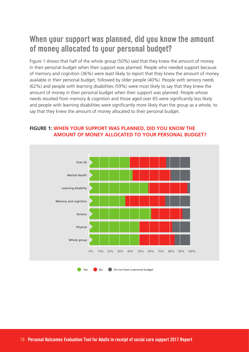### **When your support was planned, did you know the amount of money allocated to your personal budget?**

Figure 1 shows that half of the whole group (50%) said that they knew the amount of money in their personal budget when their support was planned. People who needed support because of memory and cognition (36%) were least likely to report that they knew the amount of money available in their personal budget, followed by older people (40%). People with sensory needs (62%) and people with learning disabilities (59%) were most likely to say that they knew the amount of money in their personal budget when their support was planned. People whose needs resulted from memory & cognition and those aged over 65 were significantly less likely and people with learning disabilities were significantly more likely than the group as a whole, to say that they knew the amount of money allocated to their personal budget.



#### **FIGURE 1: WHEN YOUR SUPPORT WAS PLANNED, DID YOU KNOW THE AMOUNT OF MONEY ALLOCATED TO YOUR PERSONAL BUDGET?**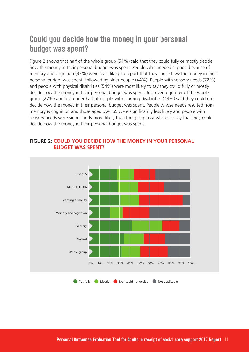### **Could you decide how the money in your personal budget was spent?**

Figure 2 shows that half of the whole group (51%) said that they could fully or mostly decide how the money in their personal budget was spent. People who needed support because of memory and cognition (33%) were least likely to report that they chose how the money in their personal budget was spent, followed by older people (44%). People with sensory needs (72%) and people with physical disabilities (54%) were most likely to say they could fully or mostly decide how the money in their personal budget was spent. Just over a quarter of the whole group (27%) and just under half of people with learning disabilities (43%) said they could not decide how the money in their personal budget was spent. People whose needs resulted from memory & cognition and those aged over 65 were significantly less likely and people with sensory needs were significantly more likely than the group as a whole, to say that they could decide how the money in their personal budget was spent.



#### **FIGURE 2: COULD YOU DECIDE HOW THE MONEY IN YOUR PERSONAL BUDGET WAS SPENT?**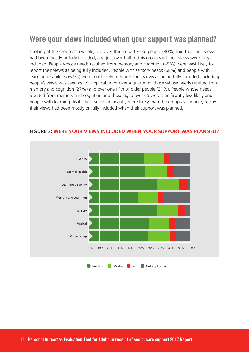### **Were your views included when your support was planned?**

Looking at the group as a whole, just over three quarters of people (80%) said that their views had been mostly or fully included, and just over half of this group said their views were fully included. People whose needs resulted from memory and cognition (49%) were least likely to report their views as being fully included. People with sensory needs (68%) and people with learning disabilities (67%) were most likely to report their views as being fully included. Including people's views was seen as not applicable for over a quarter of those whose needs resulted from memory and cognition (27%) and over one fifth of older people (21%). People whose needs resulted from memory and cognition and those aged over 65 were significantly less likely and people with learning disabilities were significantly more likely than the group as a whole, to say their views had been mostly or fully included when their support was planned.



#### **FIGURE 3: WERE YOUR VIEWS INCLUDED WHEN YOUR SUPPORT WAS PLANNED?**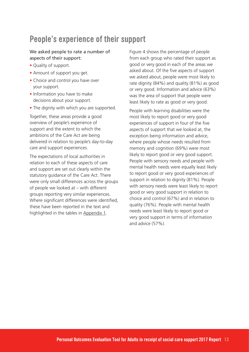### **People's experience of their support**

#### We asked people to rate a number of aspects of their support:

- Quality of support.
- Amount of support you get.
- Choice and control you have over your support.
- Information you have to make decisions about your support.
- The dignity with which you are supported.

Together, these areas provide a good overview of people's experience of support and the extent to which the ambitions of the Care Act are being delivered in relation to people's day-to-day care and support experiences.

The expectations of local authorities in relation to each of these aspects of care and support are set out clearly within the statutory guidance of the Care Act. There were only small differences across the groups of people we looked at – with different groups reporting very similar experiences. Where significant differences were identified, these have been reported in the text and highlighted in the tables in Appendix 1.

Figure 4 shows the percentage of people from each group who rated their support as good or very good in each of the areas we asked about. Of the five aspects of support we asked about, people were most likely to rate dignity (84%) and quality (81%) as good or very good. Information and advice (63%) was the area of support that people were least likely to rate as good or very good.

People with learning disabilities were the most likely to report good or very good experiences of support in four of the five aspects of support that we looked at, the exception being information and advice, where people whose needs resulted from memory and cognition (69%) were most likely to report good or very good support. People with sensory needs and people with mental health needs were equally least likely to report good or very good experiences of support in relation to dignity (81%). People with sensory needs were least likely to report good or very good support in relation to choice and control (67%) and in relation to quality (76%). People with mental health needs were least likely to report good or very good support in terms of information and advice (57%).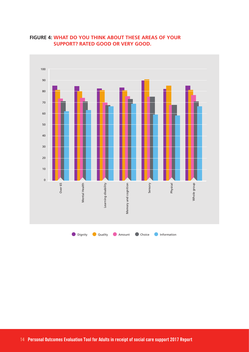

#### **FIGURE 4: WHAT DO YOU THINK ABOUT THESE AREAS OF YOUR SUPPORT? RATED GOOD OR VERY GOOD.**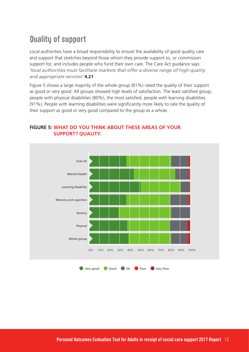## **Quality of support**

Local authorities have a broad responsibility to ensure the availability of good quality care and support that stretches beyond those whom they provide support to, or commission support for, and includes people who fund their own care. The Care Act guidance says: *'local authorities must facilitate markets that offer a diverse range of high-quality and appropriate services'* **4.21**

Figure 5 shows a large majority of the whole group (81%) rated the quality of their support as good or very good. All groups showed high levels of satisfaction. The least satisfied group, people with physical disabilities (80%), the most satisfied, people with learning disabilities (91%). People with learning disabilities were significantly more likely to rate the quality of their support as good or very good compared to the group as a whole.



#### **FIGURE 5: WHAT DO YOU THINK ABOUT THESE AREAS OF YOUR SUPPORT? QUALITY.**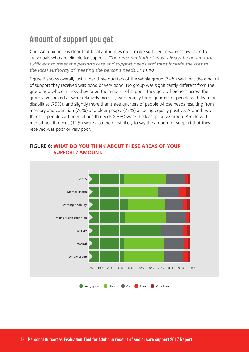### **Amount of support you get**

Care Act guidance is clear that local authorities must make sufficient resources available to individuals who are eligible for support: *'The personal budget must always be an amount sufficient to meet the person's care and support needs and must include the cost to the local authority of meeting the person's needs…' 11.10*

Figure 6 shows overall, just under three quarters of the whole group (74%) said that the amount of support they received was good or very good. No group was significantly different from the group as a whole in how they rated the amount of support they get. Differences across the groups we looked at were relatively modest, with exactly three quarters of people with learning disabilities (75%), and slightly more than three quarters of people whose needs resulting from memory and cognition (76%) and older people (77%) all being equally positive. Around two thirds of people with mental health needs (68%) were the least positive group. People with mental health needs (11%) were also the most likely to say the amount of support that they received was poor or very poor.



#### **FIGURE 6: WHAT DO YOU THINK ABOUT THESE AREAS OF YOUR SUPPORT? AMOUNT.**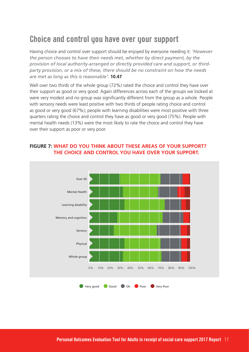### **Choice and control you have over your support**

Having choice and control over support should be enjoyed by everyone needing it: *'However the person chooses to have their needs met, whether by direct payment, by the provision of local authority-arranged or directly provided care and support, or thirdparty provision, or a mix of these, there should be no constraint on how the needs are met as long as this is reasonable'.* **10.47**

Well over two thirds of the whole group (72%) rated the choice and control they have over their support as good or very good. Again differences across each of the groups we looked at were very modest and no group was significantly different from the group as a whole. People with sensory needs were least positive with two thirds of people rating choice and control as good or very good (67%); people with learning disabilities were most positive with three quarters rating the choice and control they have as good or very good (75%). People with mental health needs (13%) were the most likely to rate the choice and control they have over their support as poor or very poor.

#### **FIGURE 7: WHAT DO YOU THINK ABOUT THESE AREAS OF YOUR SUPPORT? THE CHOICE AND CONTROL YOU HAVE OVER YOUR SUPPORT.**

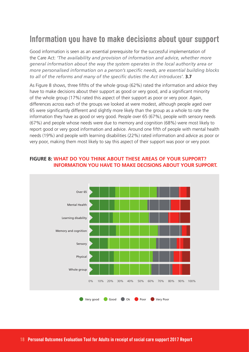### **Information you have to make decisions about your support**

Good information is seen as an essential prerequisite for the successful implementation of the Care Act: *'The availability and provision of information and advice, whether more general information about the way the system operates in the local authority area or more personalised information on a person's specific needs, are essential building blocks to all of the reforms and many of the specific duties the Act introduces'.* **3.7**

As Figure 8 shows, three fifths of the whole group (62%) rated the information and advice they have to make decisions about their support as good or very good, and a significant minority of the whole group (17%) rated this aspect of their support as poor or very poor. Again, differences across each of the groups we looked at were modest, although people aged over 65 were significantly different and slightly more likely than the group as a whole to rate the information they have as good or very good. People over 65 (67%), people with sensory needs (67%) and people whose needs were due to memory and cognition (68%) were most likely to report good or very good information and advice. Around one fifth of people with mental health needs (19%) and people with learning disabilities (22%) rated information and advice as poor or very poor, making them most likely to say this aspect of their support was poor or very poor.



#### **FIGURE 8: WHAT DO YOU THINK ABOUT THESE AREAS OF YOUR SUPPORT? INFORMATION YOU HAVE TO MAKE DECISIONS ABOUT YOUR SUPPORT.**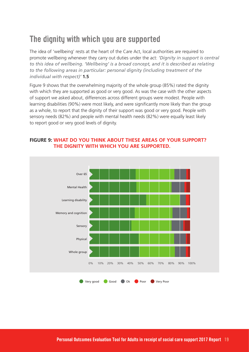### **The dignity with which you are supported**

The idea of 'wellbeing' rests at the heart of the Care Act, local authorities are required to promote wellbeing whenever they carry out duties under the act: *'Dignity in support is central to this idea of wellbeing. 'Wellbeing' is a broad concept, and it is described as relating to the following areas in particular: personal dignity (including treatment of the individual with respect)'* **1.5**

Figure 9 shows that the overwhelming majority of the whole group (85%) rated the dignity with which they are supported as good or very good. As was the case with the other aspects of support we asked about, differences across different groups were modest. People with learning disabilities (90%) were most likely, and were significantly more likely than the group as a whole, to report that the dignity of their support was good or very good. People with sensory needs (82%) and people with mental health needs (82%) were equally least likely to report good or very good levels of dignity.



#### **FIGURE 9: WHAT DO YOU THINK ABOUT THESE AREAS OF YOUR SUPPORT? THE DIGNITY WITH WHICH YOU ARE SUPPORTED.**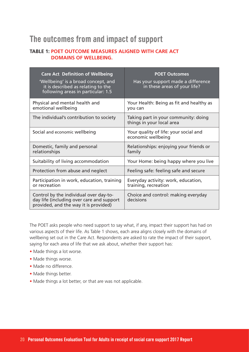### **The outcomes from and impact of support**

#### **TABLE 1: POET OUTCOME MEASURES ALIGNED WITH CARE ACT DOMAINS OF WELLBEING.**

| <b>Care Act Definition of Wellbeing</b><br>'Wellbeing' is a broad concept, and<br>it is described as relating to the<br>following areas in particular: 1.5 | <b>POET Outcomes</b><br>Has your support made a difference<br>in these areas of your life? |
|------------------------------------------------------------------------------------------------------------------------------------------------------------|--------------------------------------------------------------------------------------------|
| Physical and mental health and<br>emotional wellbeing                                                                                                      | Your Health: Being as fit and healthy as<br>vou can                                        |
| The individual's contribution to society                                                                                                                   | Taking part in your community: doing<br>things in your local area                          |
| Social and economic wellbeing                                                                                                                              | Your quality of life: your social and<br>economic wellbeing                                |
| Domestic, family and personal<br>relationships                                                                                                             | Relationships: enjoying your friends or<br>family                                          |
| Suitability of living accommodation                                                                                                                        | Your Home: being happy where you live                                                      |
| Protection from abuse and neglect                                                                                                                          | Feeling safe: feeling safe and secure                                                      |
| Participation in work, education, training<br>or recreation                                                                                                | Everyday activity: work, education,<br>training, recreation                                |
| Control by the individual over day-to-<br>day life (including over care and support<br>provided, and the way it is provided)                               | Choice and control: making everyday<br>decisions                                           |

The POET asks people who need support to say what, if any, impact their support has had on various aspects of their life. As Table 1 shows, each area aligns closely with the domains of wellbeing set out in the Care Act. Respondents are asked to rate the impact of their support, saying for each area of life that we ask about, whether their support has:

- Made things a lot worse.
- Made things worse.
- Made no difference.
- Made things better.
- Made things a lot better, or that are was not applicable.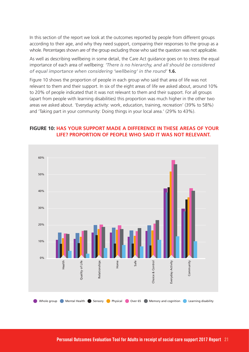In this section of the report we look at the outcomes reported by people from different groups according to their age, and why they need support, comparing their responses to the group as a whole. Percentages shown are of the group excluding those who said the question was not applicable.

As well as describing wellbeing in some detail, the Care Act guidance goes on to stress the equal importance of each area of wellbeing: *'There is no hierarchy, and all should be considered of equal importance when considering 'wellbeing' in the round'* **1.6.**

Figure 10 shows the proportion of people in each group who said that area of life was not relevant to them and their support. In six of the eight areas of life we asked about, around 10% to 20% of people indicated that it was not relevant to them and their support. For all groups (apart from people with learning disabilities) this proportion was much higher in the other two areas we asked about. 'Everyday activity: work, education, training, recreation' (39% to 58%) and 'Taking part in your community: Doing things in your local area.' (29% to 43%).



#### **FIGURE 10: HAS YOUR SUPPORT MADE A DIFFERENCE IN THESE AREAS OF YOUR LIFE? PROPORTION OF PEOPLE WHO SAID IT WAS NOT RELEVANT.**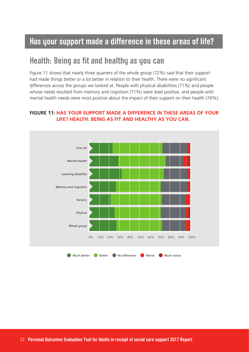### **Has your support made a difference in these areas of life?**

#### **Health: Being as fit and healthy as you can**

Figure 11 shows that nearly three quarters of the whole group (72%) said that their support had made things better or a lot better in relation to their health. There were no significant differences across the groups we looked at. People with physical disabilities (71%) and people whose needs resulted from memory and cognition (71%) were least positive, and people with mental health needs were most positive about the impact of their support on their health (76%).



#### **FIGURE 11: HAS YOUR SUPPORT MADE A DIFFERENCE IN THESE AREAS OF YOUR LIFE? HEALTH: BEING AS FIT AND HEALTHY AS YOU CAN.**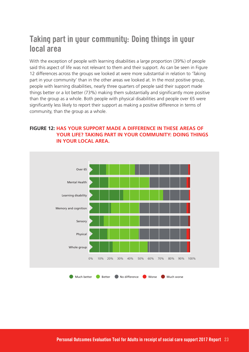### Taking part in your community: Doing things in your **local area**

With the exception of people with learning disabilities a large proportion (39%) of people said this aspect of life was not relevant to them and their support. As can be seen in Figure 12 differences across the groups we looked at were more substantial in relation to 'Taking part in your community' than in the other areas we looked at. In the most positive group, people with learning disabilities, nearly three quarters of people said their support made things better or a lot better (73%) making them substantially and significantly more positive than the group as a whole. Both people with physical disabilities and people over 65 were significantly less likely to report their support as making a positive difference in terms of community, than the group as a whole.



#### **FIGURE 12: HAS YOUR SUPPORT MADE A DIFFERENCE IN THESE AREAS OF YOUR LIFE? TAKING PART IN YOUR COMMUNITY: DOING THINGS IN YOUR LOCAL AREA.**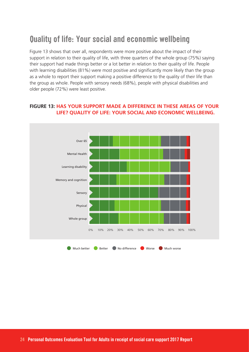### **Quality of life:Your social and economic wellbeing**

Figure 13 shows that over all, respondents were more positive about the impact of their support in relation to their quality of life, with three quarters of the whole group (75%) saying their support had made things better or a lot better in relation to their quality of life. People with learning disabilities (81%) were most positive and significantly more likely than the group as a whole to report their support making a positive difference to the quality of their life than the group as whole. People with sensory needs (68%), people with physical disabilities and older people (72%) were least positive.

#### **FIGURE 13: HAS YOUR SUPPORT MADE A DIFFERENCE IN THESE AREAS OF YOUR LIFE? QUALITY OF LIFE: YOUR SOCIAL AND ECONOMIC WELLBEING.**

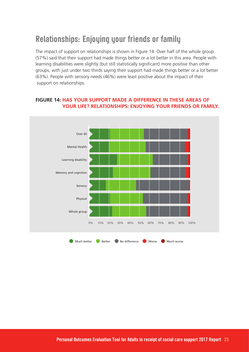### **Relationships:Enjoying your friends or family**

The impact of support on relationships is shown in Figure 14. Over half of the whole group (57%) said that their support had made things better or a lot better in this area. People with learning disabilities were slightly (but still statistically significant) more positive than other groups, with just under two thirds saying their support had made things better or a lot better (63%). People with sensory needs (46%) were least positive about the impact of their support on relationships.

## 0% 10% 20% 30% 40% 50% 60% 70% 80% 90% 100% Over 65 Mental Health Learning disability Memory and cognition Sensory Physical Whole group

#### **FIGURE 14: HAS YOUR SUPPORT MADE A DIFFERENCE IN THESE AREAS OF YOUR LIFE? RELATIONSHIPS: ENJOYING YOUR FRIENDS OR FAMILY.**

**C** Much better **C** Better C No difference Worse Much worse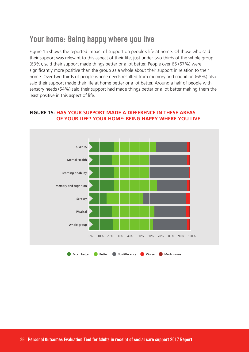### **Your home: Being happy where you live**

Figure 15 shows the reported impact of support on people's life at home. Of those who said their support was relevant to this aspect of their life, just under two thirds of the whole group (63%), said their support made things better or a lot better. People over 65 (67%) were significantly more positive than the group as a whole about their support in relation to their home. Over two thirds of people whose needs resulted from memory and cognition (68%) also said their support made their life at home better or a lot better. Around a half of people with sensory needs (54%) said their support had made things better or a lot better making them the least positive in this aspect of life.



#### **FIGURE 15: HAS YOUR SUPPORT MADE A DIFFERENCE IN THESE AREAS OF YOUR LIFE? YOUR HOME: BEING HAPPY WHERE YOU LIVE.**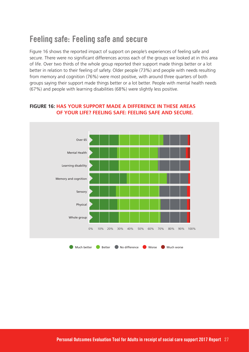### **Feeling safe: Feeling safe and secure**

Figure 16 shows the reported impact of support on people's experiences of feeling safe and secure. There were no significant differences across each of the groups we looked at in this area of life. Over two thirds of the whole group reported their support made things better or a lot better in relation to their feeling of safety. Older people (73%) and people with needs resulting from memory and cognition (76%) were most positive, with around three quarters of both groups saying their support made things better or a lot better. People with mental health needs (67%) and people with learning disabilities (68%) were slightly less positive.



#### **FIGURE 16: HAS YOUR SUPPORT MADE A DIFFERENCE IN THESE AREAS OF YOUR LIFE? FEELING SAFE: FEELING SAFE AND SECURE.**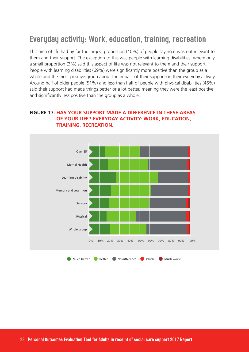### Everyday activity: Work, education, training, recreation

This area of life had by far the largest proportion (40%) of people saying it was not relevant to them and their support. The exception to this was people with learning disabilities where only a small proportion (3%) said this aspect of life was not relevant to them and their support. People with learning disabilities (69%) were significantly more positive than the group as a whole and the most positive group about the impact of their support on their everyday activity. Around half of older people (51%) and less than half of people with physical disabilities (46%) said their support had made things better or a lot better, meaning they were the least positive and significantly less positive than the group as a whole.

#### **FIGURE 17: HAS YOUR SUPPORT MADE A DIFFERENCE IN THESE AREAS OF YOUR LIFE? EVERYDAY ACTIVITY: WORK, EDUCATION, TRAINING, RECREATION.**

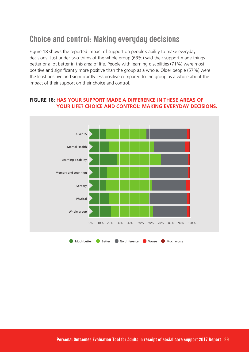### **Choice and control: Making everyday decisions**

Figure 18 shows the reported impact of support on people's ability to make everyday decisions. Just under two thirds of the whole group (63%) said their support made things better or a lot better in this area of life. People with learning disabilities (71%) were most positive and significantly more positive than the group as a whole. Older people (57%) were the least positive and significantly less positive compared to the group as a whole about the impact of their support on their choice and control.

#### **FIGURE 18: HAS YOUR SUPPORT MADE A DIFFERENCE IN THESE AREAS OF YOUR LIFE? CHOICE AND CONTROL: MAKING EVERYDAY DECISIONS.**

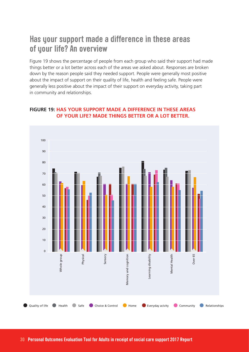### **Has your support made a difference in these areas of your life? An overview**

Figure 19 shows the percentage of people from each group who said their support had made things better or a lot better across each of the areas we asked about. Responses are broken down by the reason people said they needed support. People were generally most positive about the impact of support on their quality of life, health and feeling safe. People were generally less positive about the impact of their support on everyday activity, taking part in community and relationships.

#### **FIGURE 19: HAS YOUR SUPPORT MADE A DIFFERENCE IN THESE AREAS OF YOUR LIFE? MADE THINGS BETTER OR A LOT BETTER.**

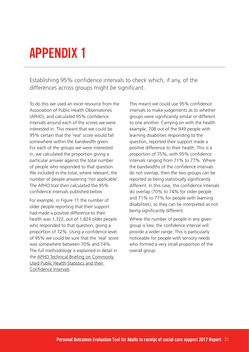# <span id="page-32-0"></span>**APPENDIX 1**

Establishing 95% confidence intervals to check which, if any, of the differences across groups might be significant.

To do this we used an excel resource from the Association of Public Health Observatories (APHO), and calculated 95% confidence intervals around each of the scores we were interested in. This meant that we could be 95% certain that the 'real' score would fall somewhere within the bandwidth given. For each of the groups we were interested in, we calculated the proportion giving a particular answer against the total number of people who responded to that question. We included in the total, where relevant, the number of people answering 'not applicable'. The APHO tool then calculated the 95% confidence intervals published below.

For example, in Figure 11 the number of older people reporting that their support had made a positive difference to their health was 1,322, out of 1,824 older people who responded to that question, giving a proportion of 72%. Using a confidence level of 95% we could be sure that the 'real' score was somewhere between 70% and 74%. The full methodology is explained in detail in [the APHO Technical Briefing on Commonly](http://www.apho.org.uk/resource/item.aspx?RID=48457)  Used Public Health Statistics and their Confidence Intervals.

This meant we could use 95% confidence intervals to make judgements as to whether groups were significantly similar or different to one another. Carrying on with the health example, 708 out of the 949 people with learning disabilities responding to the question, reported their support made a positive difference to their health. This is a proportion of 75%, with 95% confidence intervals ranging from 71% to 77%. Where the bandwidths of the confidence intervals do not overlap, then the two groups can be reported as being statistically significantly different. In this case, the confidence intervals do overlap (70% to 74% for older people and 71% to 77% for people with learning disabilities), so they can be interpreted as not being significantly different.

Where the number of people in any given group is low, the confidence interval will provide a wider range. This is particularly noticeable for people with sensory needs who formed a very small proportion of the overall group.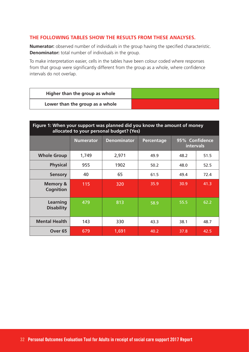#### **THE FOLLOWING TABLES SHOW THE RESULTS FROM THESE ANALYSES.**

**Numerator:** observed number of individuals in the group having the specified characteristic. **Denominator:** total number of individuals in the group.

To make interpretation easier, cells in the tables have been colour coded where responses from that group were significantly different from the group as a whole, where confidence intervals do not overlap.

| Higher than the group as whole  |  |
|---------------------------------|--|
| Lower than the group as a whole |  |

| Figure 1: When your support was planned did you know the amount of money<br>allocated to your personal budget? (Yes) |                  |                    |            |                                    |      |
|----------------------------------------------------------------------------------------------------------------------|------------------|--------------------|------------|------------------------------------|------|
|                                                                                                                      | <b>Numerator</b> | <b>Denominator</b> | Percentage | 95% Confidence<br><b>intervals</b> |      |
| <b>Whole Group</b>                                                                                                   | 1,749            | 2,971              | 49.9       | 48.2                               | 51.5 |
| <b>Physical</b>                                                                                                      | 955              | 1902               | 50.2       | 48.0                               | 52.5 |
| <b>Sensory</b>                                                                                                       | 40               | 65                 | 61.5       | 49.4                               | 72.4 |
| <b>Memory &amp;</b><br><b>Cognition</b>                                                                              | 115              | 320                | 35.9       | 30.9                               | 41.3 |
| Learning<br><b>Disability</b>                                                                                        | 479              | 813                | 58.9       | 55.5                               | 62.2 |
| <b>Mental Health</b>                                                                                                 | 143              | 330                | 43.3       | 38.1                               | 48.7 |
| Over <sub>65</sub>                                                                                                   | 679              | 1,691              | 40.2       | 37.8                               | 42.5 |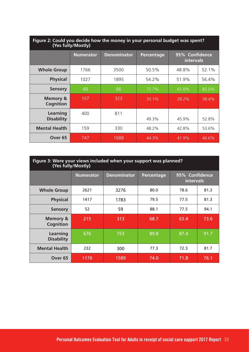| Figure 2: Could you decide how the money in your personal budget was spent?<br>(Yes fully/Mostly) |                  |                    |            |                             |       |  |
|---------------------------------------------------------------------------------------------------|------------------|--------------------|------------|-----------------------------|-------|--|
|                                                                                                   | <b>Numerator</b> | <b>Denominator</b> | Percentage | 95% Confidence<br>intervals |       |  |
| <b>Whole Group</b>                                                                                | 1766             | 3500               | 50.5%      | 48.8%                       | 52.1% |  |
| <b>Physical</b>                                                                                   | 1027             | 1895               | 54.2%      | 51.9%                       | 56.4% |  |
| <b>Sensory</b>                                                                                    | 48               | 66                 | 72.7%      | 61.0%                       | 82.0% |  |
| <b>Memory &amp;</b><br>Cognition                                                                  | 107              | 323                | 33.1%      | 28.2%                       | 38.4% |  |
| <b>Learning</b><br><b>Disability</b>                                                              | 400              | 811                | 49.3%      | 45.9%                       | 52.8% |  |
| <b>Mental Health</b>                                                                              | 159              | 330                | 48.2%      | 42.8%                       | 53.6% |  |
| Over <sub>65</sub>                                                                                | 747              | 1688               | 44.3%      | 41.9%                       | 46.6% |  |

| Figure 3: Were your views included when your support was planned?<br>(Yes fully/Mostly) |                  |                    |            |                                    |      |  |
|-----------------------------------------------------------------------------------------|------------------|--------------------|------------|------------------------------------|------|--|
|                                                                                         | <b>Numerator</b> | <b>Denominator</b> | Percentage | 95% Confidence<br><b>intervals</b> |      |  |
| <b>Whole Group</b>                                                                      | 2621             | 3276               | 80.0       | 78.6                               | 81.3 |  |
| <b>Physical</b>                                                                         | 1417             | 1783               | 79.5       | 77.5                               | 81.3 |  |
| <b>Sensory</b>                                                                          | 52               | 59                 | 88.1       | 77.5                               | 94.1 |  |
| <b>Memory &amp;</b><br><b>Cognition</b>                                                 | 215              | 313                | 68.7       | 63.4                               | 73.6 |  |
| Learning<br><b>Disability</b>                                                           | 676              | 753                | 89.8       | 87.4                               | 91.7 |  |
| <b>Mental Health</b>                                                                    | 232              | 300                | 77.3       | 72.3                               | 81.7 |  |
| Over <sub>65</sub>                                                                      | 1176             | 1589               | 74.0       | 71.8                               | 76.1 |  |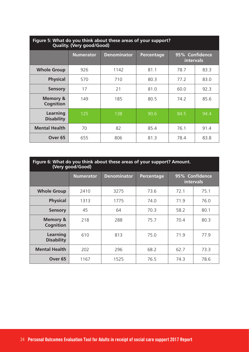| Figure 5: What do you think about these areas of your support?<br><b>Quality. (Very good/Good)</b> |                  |                    |            |                                    |      |  |
|----------------------------------------------------------------------------------------------------|------------------|--------------------|------------|------------------------------------|------|--|
|                                                                                                    | <b>Numerator</b> | <b>Denominator</b> | Percentage | 95% Confidence<br><b>intervals</b> |      |  |
| <b>Whole Group</b>                                                                                 | 926              | 1142               | 81.1       | 78.7                               | 83.3 |  |
| <b>Physical</b>                                                                                    | 570              | 710                | 80.3       | 77.2                               | 83.0 |  |
| <b>Sensory</b>                                                                                     | 17               | 21                 | 81.0       | 60.0                               | 92.3 |  |
| <b>Memory &amp;</b><br><b>Cognition</b>                                                            | 149              | 185                | 80.5       | 74.2                               | 85.6 |  |
| Learning<br><b>Disability</b>                                                                      | 125              | 138                | 90.6       | 84.5                               | 94.4 |  |
| <b>Mental Health</b>                                                                               | 70               | 82                 | 85.4       | 76.1                               | 91.4 |  |
| Over <sub>65</sub>                                                                                 | 655              | 806                | 81.3       | 78.4                               | 83.8 |  |

| Figure 6: What do you think about these areas of your support? Amount.<br>(Very good/Good) |                  |                    |            |                             |      |  |
|--------------------------------------------------------------------------------------------|------------------|--------------------|------------|-----------------------------|------|--|
|                                                                                            | <b>Numerator</b> | <b>Denominator</b> | Percentage | 95% Confidence<br>intervals |      |  |
| <b>Whole Group</b>                                                                         | 2410             | 3275               | 73.6       | 72.1                        | 75.1 |  |
| <b>Physical</b>                                                                            | 1313             | 1775               | 74.0       | 71.9                        | 76.0 |  |
| <b>Sensory</b>                                                                             | 45               | 64                 | 70.3       | 58.2                        | 80.1 |  |
| <b>Memory &amp;</b><br>Cognition                                                           | 218              | 288                | 75.7       | 70.4                        | 80.3 |  |
| Learning<br><b>Disability</b>                                                              | 610              | 813                | 75.0       | 71.9                        | 77.9 |  |
| <b>Mental Health</b>                                                                       | 202              | 296                | 68.2       | 62.7                        | 73.3 |  |
| Over <sub>65</sub>                                                                         | 1167             | 1525               | 76.5       | 74.3                        | 78.6 |  |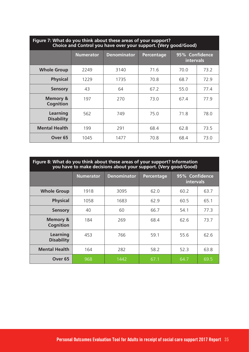| Figure 7: What do you think about these areas of your support?<br>Choice and Control you have over your support. (Very good/Good) |                  |                    |            |                                    |      |  |
|-----------------------------------------------------------------------------------------------------------------------------------|------------------|--------------------|------------|------------------------------------|------|--|
|                                                                                                                                   | <b>Numerator</b> | <b>Denominator</b> | Percentage | 95% Confidence<br><b>intervals</b> |      |  |
| <b>Whole Group</b>                                                                                                                | 2249             | 3140               | 71.6       | 70.0                               | 73.2 |  |
| <b>Physical</b>                                                                                                                   | 1229             | 1735               | 70.8       | 68.7                               | 72.9 |  |
| <b>Sensory</b>                                                                                                                    | 43               | 64                 | 67.2       | 55.0                               | 77.4 |  |
| <b>Memory &amp;</b><br><b>Cognition</b>                                                                                           | 197              | 270                | 73.0       | 67.4                               | 77.9 |  |
| Learning<br><b>Disability</b>                                                                                                     | 562              | 749                | 75.0       | 71.8                               | 78.0 |  |
| <b>Mental Health</b>                                                                                                              | 199              | 291                | 68.4       | 62.8                               | 73.5 |  |
| Over <sub>65</sub>                                                                                                                | 1045             | 1477               | 70.8       | 68.4                               | 73.0 |  |

### **Figure 7: What do you think about these areas of your support?**

#### **Figure 8: What do you think about these areas of your support? Information you have to make decisions about your support. (Very good/Good)**

|                                         | <b>Numerator</b> | <b>Denominator</b> | Percentage | 95% Confidence<br><b>intervals</b> |      |
|-----------------------------------------|------------------|--------------------|------------|------------------------------------|------|
| <b>Whole Group</b>                      | 1918             | 3095               | 62.0       | 60.2                               | 63.7 |
| <b>Physical</b>                         | 1058             | 1683               | 62.9       | 60.5                               | 65.1 |
| <b>Sensory</b>                          | 40               | 60                 | 66.7       | 54.1                               | 77.3 |
| <b>Memory &amp;</b><br><b>Cognition</b> | 184              | 269                | 68.4       | 62.6                               | 73.7 |
| Learning<br><b>Disability</b>           | 453              | 766                | 59.1       | 55.6                               | 62.6 |
| <b>Mental Health</b>                    | 164              | 282                | 58.2       | 52.3                               | 63.8 |
| Over <sub>65</sub>                      | 968              | 1442               | 67.1       | 64.7                               | 69.5 |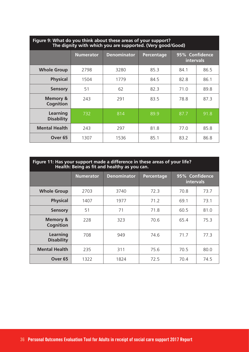| Figure 9: What do you think about these areas of your support?<br>The dignity with which you are supported. (Very good/Good) |                  |                    |            |                                    |      |  |
|------------------------------------------------------------------------------------------------------------------------------|------------------|--------------------|------------|------------------------------------|------|--|
|                                                                                                                              | <b>Numerator</b> | <b>Denominator</b> | Percentage | 95% Confidence<br><b>intervals</b> |      |  |
| <b>Whole Group</b>                                                                                                           | 2798             | 3280               | 85.3       | 84.1                               | 86.5 |  |
| <b>Physical</b>                                                                                                              | 1504             | 1779               | 84.5       | 82.8                               | 86.1 |  |
| <b>Sensory</b>                                                                                                               | 51               | 62                 | 82.3       | 71.0                               | 89.8 |  |
| <b>Memory &amp;</b><br><b>Cognition</b>                                                                                      | 243              | 291                | 83.5       | 78.8                               | 87.3 |  |
| Learning<br><b>Disability</b>                                                                                                | 732              | 814                | 89.9       | 87.7                               | 91.8 |  |
| <b>Mental Health</b>                                                                                                         | 243              | 297                | 81.8       | 77.0                               | 85.8 |  |
| Over <sub>65</sub>                                                                                                           | 1307             | 1536               | 85.1       | 83.2                               | 86.8 |  |

| Figure 11: Has your support made a difference in these areas of your life?<br>Health: Being as fit and healthy as you can. |                  |                    |            |                                    |      |  |  |
|----------------------------------------------------------------------------------------------------------------------------|------------------|--------------------|------------|------------------------------------|------|--|--|
|                                                                                                                            | <b>Numerator</b> | <b>Denominator</b> | Percentage | 95% Confidence<br><b>intervals</b> |      |  |  |
| <b>Whole Group</b>                                                                                                         | 2703             | 3740               | 72.3       | 70.8                               | 73.7 |  |  |
| <b>Physical</b>                                                                                                            | 1407             | 1977               | 71.2       | 69.1                               | 73.1 |  |  |
| <b>Sensory</b>                                                                                                             | 51               | 71                 | 71.8       | 60.5                               | 81.0 |  |  |
| <b>Memory &amp;</b><br><b>Cognition</b>                                                                                    | 228              | 323                | 70.6       | 65.4                               | 75.3 |  |  |
| Learning<br><b>Disability</b>                                                                                              | 708              | 949                | 74.6       | 71.7                               | 77.3 |  |  |
| <b>Mental Health</b>                                                                                                       | 235              | 311                | 75.6       | 70.5                               | 80.0 |  |  |
| Over <sub>65</sub>                                                                                                         | 1322             | 1824               | 72.5       | 70.4                               | 74.5 |  |  |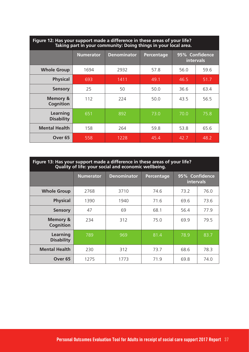| Figure 12: Has your support made a difference in these areas of your life?<br>Taking part in your community: Doing things in your local area. |                  |                    |            |                                    |      |  |  |
|-----------------------------------------------------------------------------------------------------------------------------------------------|------------------|--------------------|------------|------------------------------------|------|--|--|
|                                                                                                                                               | <b>Numerator</b> | <b>Denominator</b> | Percentage | 95% Confidence<br><b>intervals</b> |      |  |  |
| <b>Whole Group</b>                                                                                                                            | 1694             | 2932               | 57.8       | 56.0                               | 59.6 |  |  |
| <b>Physical</b>                                                                                                                               | 693              | 1411               | 49.1       | 46.5                               | 51.7 |  |  |
| <b>Sensory</b>                                                                                                                                | 25               | 50                 | 50.0       | 36.6                               | 63.4 |  |  |
| <b>Memory &amp;</b><br><b>Cognition</b>                                                                                                       | 112              | 224                | 50.0       | 43.5                               | 56.5 |  |  |
| Learning<br><b>Disability</b>                                                                                                                 | 651              | 892                | 73.0       | 70.0                               | 75.8 |  |  |
| <b>Mental Health</b>                                                                                                                          | 158              | 264                | 59.8       | 53.8                               | 65.6 |  |  |
| Over <sub>65</sub>                                                                                                                            | 558              | 1228               | 45.4       | 42.7                               | 48.2 |  |  |

#### **Figure 13: Has your support made a difference in these areas of your life? Quality of life: your social and economic wellbeing.**

|                                         | <b>Numerator</b> | <b>Denominator</b> | Percentage | 95% Confidence<br>intervals |      |
|-----------------------------------------|------------------|--------------------|------------|-----------------------------|------|
| <b>Whole Group</b>                      | 2768             | 3710               | 74.6       | 73.2                        | 76.0 |
| <b>Physical</b>                         | 1390             | 1940               | 71.6       | 69.6                        | 73.6 |
| <b>Sensory</b>                          | 47               | 69                 | 68.1       | 56.4                        | 77.9 |
| <b>Memory &amp;</b><br><b>Cognition</b> | 234              | 312                | 75.0       | 69.9                        | 79.5 |
| Learning<br><b>Disability</b>           | 789              | 969                | 81.4       | 78.9                        | 83.7 |
| <b>Mental Health</b>                    | 230              | 312                | 73.7       | 68.6                        | 78.3 |
| Over <sub>65</sub>                      | 1275             | 1773               | 71.9       | 69.8                        | 74.0 |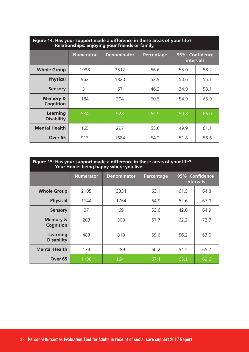| Figure 14: Has your support made a difference in these areas of your life?<br>Relationships: enjoying your friends or family. |                  |                    |            |                                    |      |  |  |
|-------------------------------------------------------------------------------------------------------------------------------|------------------|--------------------|------------|------------------------------------|------|--|--|
|                                                                                                                               | <b>Numerator</b> | <b>Denominator</b> | Percentage | 95% Confidence<br><b>intervals</b> |      |  |  |
| <b>Whole Group</b>                                                                                                            | 1988             | 3512               | 56.6       | 55.0                               | 58.2 |  |  |
| <b>Physical</b>                                                                                                               | 962              | 1820               | 52.9       | 50.6                               | 55.1 |  |  |
| <b>Sensory</b>                                                                                                                | 31               | 67                 | 46.3       | 34.9                               | 58.1 |  |  |
| <b>Memory &amp;</b><br><b>Cognition</b>                                                                                       | 184              | 304                | 60.5       | 54.9                               | 65.9 |  |  |
| Learning<br><b>Disability</b>                                                                                                 | 584              | 928                | 62.9       | 59.8                               | 66.0 |  |  |
| <b>Mental Health</b>                                                                                                          | 165              | 297                | 55.6       | 49.9                               | 61.1 |  |  |
| Over <sub>65</sub>                                                                                                            | 913              | 1684               | 54.2       | 51.8                               | 56.6 |  |  |

| Figure 15: Has your support made a difference in these areas of your life?<br>Your Home: being happy where you live. |                  |                    |            |                                    |      |  |  |
|----------------------------------------------------------------------------------------------------------------------|------------------|--------------------|------------|------------------------------------|------|--|--|
|                                                                                                                      | <b>Numerator</b> | <b>Denominator</b> | Percentage | 95% Confidence<br><b>intervals</b> |      |  |  |
| <b>Whole Group</b>                                                                                                   | 2105             | 3334               | 63.1       | 61.5                               | 64.8 |  |  |
| <b>Physical</b>                                                                                                      | 1144             | 1764               | 64.9       | 62.6                               | 67.0 |  |  |
| <b>Sensory</b>                                                                                                       | 37               | 69                 | 53.6       | 42.0                               | 64.9 |  |  |
| <b>Memory &amp;</b><br>Cognition                                                                                     | 203              | 300                | 67.7       | 62.2                               | 72.7 |  |  |
| Learning<br><b>Disability</b>                                                                                        | 483              | 810                | 59.6       | 56.2                               | 63.0 |  |  |
| <b>Mental Health</b>                                                                                                 | 174              | 289                | 60.2       | 54.5                               | 65.7 |  |  |
| Over <sub>65</sub>                                                                                                   | 1106             | 1641               | 67.4       | 65.1                               | 69.6 |  |  |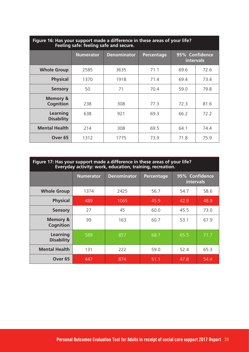| Figure 16: Has your support made a difference in these areas of your life?<br>Feeling safe: feeling safe and secure. |                  |                    |            |                                    |      |  |  |
|----------------------------------------------------------------------------------------------------------------------|------------------|--------------------|------------|------------------------------------|------|--|--|
|                                                                                                                      | <b>Numerator</b> | <b>Denominator</b> | Percentage | 95% Confidence<br><b>intervals</b> |      |  |  |
| <b>Whole Group</b>                                                                                                   | 2585             | 3635               | 71.1       | 69.6                               | 72.6 |  |  |
| <b>Physical</b>                                                                                                      | 1370             | 1918               | 71.4       | 69.4                               | 73.4 |  |  |
| <b>Sensory</b>                                                                                                       | 50               | 71                 | 70.4       | 59.0                               | 79.8 |  |  |
| <b>Memory &amp;</b><br><b>Cognition</b>                                                                              | 238              | 308                | 77.3       | 72.3                               | 81.6 |  |  |
| Learning<br><b>Disability</b>                                                                                        | 638              | 921                | 69.3       | 66.2                               | 72.2 |  |  |
| <b>Mental Health</b>                                                                                                 | 214              | 308                | 69.5       | 64.1                               | 74.4 |  |  |
| Over <sub>65</sub>                                                                                                   | 1312             | 1775               | 73.9       | 71.8                               | 75.9 |  |  |

### **Figure 16: Has your support made a difference in these areas of your life?**

| Figure 17: Has your support made a difference in these areas of your life?<br>Everyday activity: work, education, training, recreation. |                  |                    |            |                             |      |  |  |
|-----------------------------------------------------------------------------------------------------------------------------------------|------------------|--------------------|------------|-----------------------------|------|--|--|
|                                                                                                                                         | <b>Numerator</b> | <b>Denominator</b> | Percentage | 95% Confidence<br>intervals |      |  |  |
| <b>Whole Group</b>                                                                                                                      | 1374             | 2425               | 56.7       | 54.7                        | 58.6 |  |  |
| <b>Physical</b>                                                                                                                         | 489              | 1065               | 45.9       | 42.9                        | 48.9 |  |  |
| <b>Sensory</b>                                                                                                                          | 27               | 45                 | 60.0       | 45.5                        | 73.0 |  |  |
| <b>Memory &amp;</b><br><b>Cognition</b>                                                                                                 | 99               | 163                | 60.7       | 53.1                        | 67.9 |  |  |
| Learning<br><b>Disability</b>                                                                                                           | 589              | 857                | 68.7       | 65.5                        | 71.7 |  |  |
| <b>Mental Health</b>                                                                                                                    | 131              | 222                | 59.0       | 52.4                        | 65.3 |  |  |
| Over <sub>65</sub>                                                                                                                      | 447              | 874                | 51.1       | 47.8                        | 54.4 |  |  |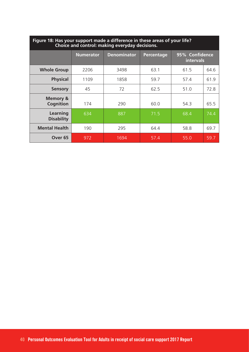| Figure 18: Has your support made a difference in these areas of your life?<br>Choice and control: making everyday decisions. |                  |                    |            |                                    |      |  |  |
|------------------------------------------------------------------------------------------------------------------------------|------------------|--------------------|------------|------------------------------------|------|--|--|
|                                                                                                                              | <b>Numerator</b> | <b>Denominator</b> | Percentage | 95% Confidence<br><b>intervals</b> |      |  |  |
| <b>Whole Group</b>                                                                                                           | 2206             | 3498               | 63.1       | 61.5                               | 64.6 |  |  |
| <b>Physical</b>                                                                                                              | 1109             | 1858               | 59.7       | 57.4                               | 61.9 |  |  |
| <b>Sensory</b>                                                                                                               | 45               | 72                 | 62.5       | 51.0                               | 72.8 |  |  |
| <b>Memory &amp;</b><br>Cognition                                                                                             | 174              | 290                | 60.0       | 54.3                               | 65.5 |  |  |
| Learning<br><b>Disability</b>                                                                                                | 634              | 887                | 71.5       | 68.4                               | 74.4 |  |  |
| <b>Mental Health</b>                                                                                                         | 190              | 295                | 64.4       | 58.8                               | 69.7 |  |  |
| Over <sub>65</sub>                                                                                                           | 972              | 1694               | 57.4       | 55.0                               | 59.7 |  |  |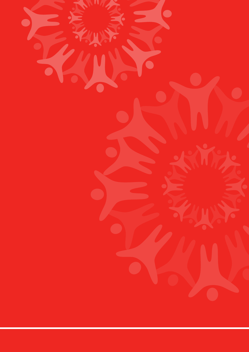